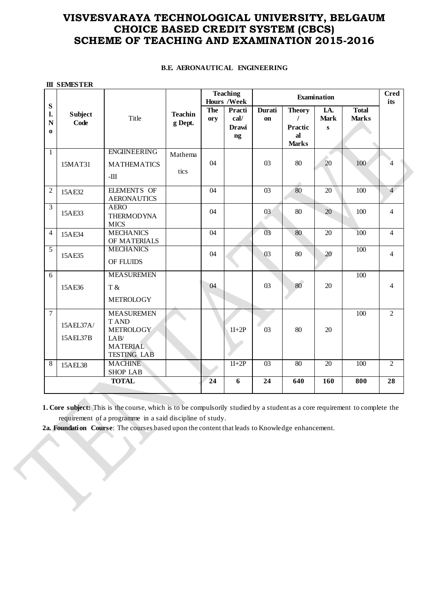## **VISVESVARAYA TECHNOLOGICAL UNIVERSITY, BELGAUM CHOICE BASED CREDIT SYSTEM (CBCS) SCHEME OF TEACHING AND EXAMINATION 2015-2016**

|  |  | <b>B.E. AERONAUTICAL ENGINEERING</b> |
|--|--|--------------------------------------|
|--|--|--------------------------------------|

|                                    | <b>III SEMESTER</b>    |                                                                                                       |                           |                                       |                                      |                     |                                                                   |                                     |                              |                         |
|------------------------------------|------------------------|-------------------------------------------------------------------------------------------------------|---------------------------|---------------------------------------|--------------------------------------|---------------------|-------------------------------------------------------------------|-------------------------------------|------------------------------|-------------------------|
|                                    |                        |                                                                                                       |                           | <b>Teaching</b><br><b>Hours /Week</b> |                                      | Examination         |                                                                   |                                     |                              | <b>Cred</b><br>its      |
| S<br>1.<br>$\mathbf N$<br>$\bf{0}$ | <b>Subject</b><br>Code | Title                                                                                                 | <b>Teachin</b><br>g Dept. | <b>The</b><br>ory                     | Practi<br>cal/<br><b>Drawi</b><br>ng | <b>Durati</b><br>on | <b>Theory</b><br>$\prime$<br><b>Practic</b><br>al<br><b>Marks</b> | I.A.<br><b>Mark</b><br>$\mathbf{s}$ | <b>Total</b><br><b>Marks</b> |                         |
| $\mathbf{1}$                       | 15MAT31                | <b>ENGINEERING</b><br><b>MATHEMATICS</b><br>$\boldsymbol{-\mathrm{III}}$                              | Mathema<br>tics           | 04                                    |                                      | 03                  | 80                                                                | 20                                  | 100                          | $\overline{\mathbf{4}}$ |
| $\overline{2}$                     | 15AE32                 | <b>ELEMENTS OF</b><br><b>AERONAUTICS</b>                                                              |                           | 04                                    |                                      | 03                  | 80                                                                | 20                                  | 100                          | $\overline{4}$          |
| $\overline{3}$                     | 15AE33                 | <b>AERO</b><br><b>THERMODYNA</b><br><b>MICS</b>                                                       |                           | 04                                    |                                      | 03                  | 80                                                                | 20                                  | 100                          | $\overline{4}$          |
| $\overline{4}$                     | 15AE34                 | <b>MECHANICS</b><br>OF MATERIALS                                                                      |                           | 04                                    |                                      | 03                  | 80                                                                | 20                                  | 100                          | $\overline{4}$          |
| 5                                  | 15AE35                 | <b>MECHANICS</b><br>OF FLUIDS                                                                         |                           | 04                                    |                                      | 03                  | 80                                                                | 20                                  | 100                          | $\overline{4}$          |
| 6                                  | 15AE36                 | <b>MEASUREMEN</b><br>T &<br><b>METROLOGY</b>                                                          |                           | 04                                    |                                      | 03                  | 80                                                                | 20                                  | 100                          | 4                       |
| $\overline{7}$                     | 15AEL37A/<br>15AEL37B  | <b>MEASUREMEN</b><br><b>TAND</b><br><b>METROLOGY</b><br>LAB/<br><b>MATERIAL</b><br><b>TESTING LAB</b> |                           |                                       | $1I+2P$                              | 03                  | 80                                                                | 20                                  | 100                          | $\overline{2}$          |
| 8                                  | 15AEL38                | <b>MACHINE</b><br><b>SHOP LAB</b>                                                                     |                           |                                       | $1I+2P$                              | 0 <sup>3</sup>      | 80                                                                | 20                                  | 100                          | $\overline{2}$          |
| <b>TOTAL</b>                       |                        |                                                                                                       | 24                        | 6                                     | 24                                   | 640                 | 160                                                               | 800                                 | 28                           |                         |

**1. Core subject:** This is the course, which is to be compulsorily studied by a student as a core requirement to complete the requirement of a programme in a said discipline of study.

**2a. Foundation Course**: The courses based upon the content that leads to Knowledge enhancement.